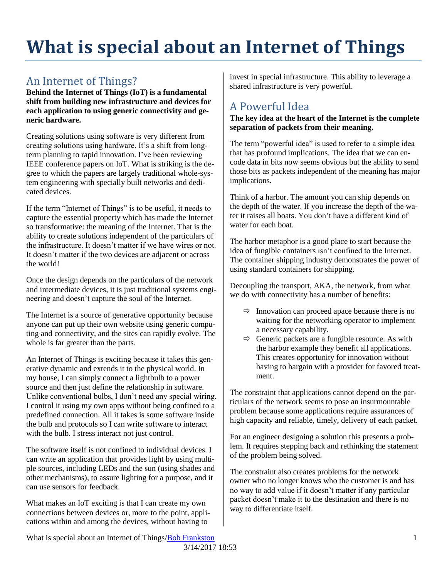# **What is special about an Internet of Things**

#### An Internet of Things?

**Behind the Internet of Things (IoT) is a fundamental shift from building new infrastructure and devices for each application to using generic connectivity and generic hardware.**

Creating solutions using software is very different from creating solutions using hardware. It's a shift from longterm planning to rapid innovation. I've been reviewing IEEE conference papers on IoT. What is striking is the degree to which the papers are largely traditional whole-system engineering with specially built networks and dedicated devices.

If the term "Internet of Things" is to be useful, it needs to capture the essential property which has made the Internet so transformative: the meaning of the Internet. That is the ability to create solutions independent of the particulars of the infrastructure. It doesn't matter if we have wires or not. It doesn't matter if the two devices are adjacent or across the world!

Once the design depends on the particulars of the network and intermediate devices, it is just traditional systems engineering and doesn't capture the soul of the Internet.

The Internet is a source of generative opportunity because anyone can put up their own website using generic computing and connectivity, and the sites can rapidly evolve. The whole is far greater than the parts.

An Internet of Things is exciting because it takes this generative dynamic and extends it to the physical world. In my house, I can simply connect a lightbulb to a power source and then just define the relationship in software. Unlike conventional bulbs, I don't need any special wiring. I control it using my own apps without being confined to a predefined connection. All it takes is some software inside the bulb and protocols so I can write software to interact with the bulb. I stress interact not just control.

The software itself is not confined to individual devices. I can write an application that provides light by using multiple sources, including LEDs and the sun (using shades and other mechanisms), to assure lighting for a purpose, and it can use sensors for feedback.

What makes an IoT exciting is that I can create my own connections between devices or, more to the point, applications within and among the devices, without having to

invest in special infrastructure. This ability to leverage a shared infrastructure is very powerful.

## A Powerful Idea

#### **The key idea at the heart of the Internet is the complete separation of packets from their meaning.**

The term "powerful idea" is used to refer to a simple idea that has profound implications. The idea that we can encode data in bits now seems obvious but the ability to send those bits as packets independent of the meaning has major implications.

Think of a harbor. The amount you can ship depends on the depth of the water. If you increase the depth of the water it raises all boats. You don't have a different kind of water for each boat.

The harbor metaphor is a good place to start because the idea of fungible containers isn't confined to the Internet. The container shipping industry demonstrates the power of using standard containers for shipping.

Decoupling the transport, AKA, the network, from what we do with connectivity has a number of benefits:

- $\Rightarrow$  Innovation can proceed apace because there is no waiting for the networking operator to implement a necessary capability.
- $\Rightarrow$  Generic packets are a fungible resource. As with the harbor example they benefit all applications. This creates opportunity for innovation without having to bargain with a provider for favored treatment.

The constraint that applications cannot depend on the particulars of the network seems to pose an insurmountable problem because some applications require assurances of high capacity and reliable, timely, delivery of each packet.

For an engineer designing a solution this presents a problem. It requires stepping back and rethinking the statement of the problem being solved.

The constraint also creates problems for the network owner who no longer knows who the customer is and has no way to add value if it doesn't matter if any particular packet doesn't make it to the destination and there is no way to differentiate itself.

What is special about an Internet of Things[/Bob Frankston](http://frankston.com/public) 1